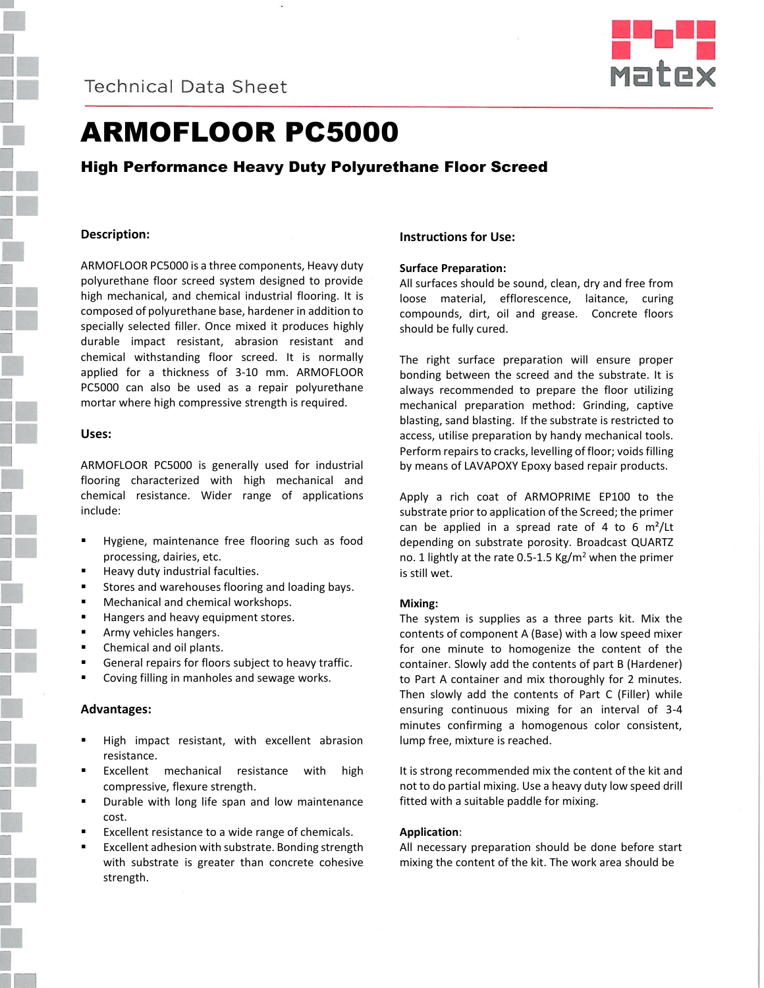



# ARMOFLOOR PC5000

## High Performance Heavy Duty Polyurethane Floor Screed

## **Description:**

ARMOFLOOR PC5000 is a three components, Heavy duty polyurethane floor screed system designed to provide high mechanical, and chemical industrial flooring. It is composed of polyurethane base, hardener in addition to specially selected filler. Once mixed it produces highly durable impact resistant, abrasion resistant and chemical withstanding floor screed. It is normally applied for a thickness of 3-10 mm. ARMOFLOOR PC5000 can also be used as a repair polyurethane mortar where high compressive strength is required.

#### **Uses:**

ARMOFLOOR PC5000 is generally used for industrial flooring characterized with high mechanical and chemical resistance. Wider range of applications include:

- Hygiene, maintenance free flooring such as food processing, dairies, etc.
- Heavy duty industrial faculties.
- **Stores and warehouses flooring and loading bays.**
- **Mechanical and chemical workshops.**
- Hangers and heavy equipment stores.
- **Army vehicles hangers.**
- Chemical and oil plants.
- General repairs for floors subject to heavy traffic.
- Coving filling in manholes and sewage works.

#### **Advantages:**

- High impact resistant, with excellent abrasion resistance.
- Excellent mechanical resistance with high compressive, flexure strength.
- Durable with long life span and low maintenance cost.
- Excellent resistance to a wide range of chemicals.
- Excellent adhesion with substrate. Bonding strength with substrate is greater than concrete cohesive strength.

### **Instructions for Use:**

#### **Surface Preparation:**

All surfaces should be sound, clean, dry and free from loose material, efflorescence, laitance, curing compounds, dirt, oil and grease. Concrete floors should be fully cured.

The right surface preparation will ensure proper bonding between the screed and the substrate. It is always recommended to prepare the floor utilizing mechanical preparation method: Grinding, captive blasting, sand blasting. If the substrate is restricted to access, utilise preparation by handy mechanical tools. Perform repairs to cracks, levelling of floor; voids filling by means of LAVAPOXY Epoxy based repair products.

Apply a rich coat of ARMOPRIME EP100 to the substrate prior to application of the Screed; the primer can be applied in a spread rate of 4 to 6  $m^2/$ Lt depending on substrate porosity. Broadcast QUARTZ no. 1 lightly at the rate 0.5-1.5 Kg/m<sup>2</sup> when the primer is still wet.

#### **Mixing:**

The system is supplies as a three parts kit. Mix the contents of component A (Base) with a low speed mixer for one minute to homogenize the content of the container. Slowly add the contents of part B (Hardener) to Part A container and mix thoroughly for 2 minutes. Then slowly add the contents of Part C (Filler) while ensuring continuous mixing for an interval of 3-4 minutes confirming a homogenous color consistent, lump free, mixture is reached.

It is strong recommended mix the content of the kit and not to do partial mixing. Use a heavy duty low speed drill fitted with a suitable paddle for mixing.

#### **Application**:

All necessary preparation should be done before start mixing the content of the kit. The work area should be